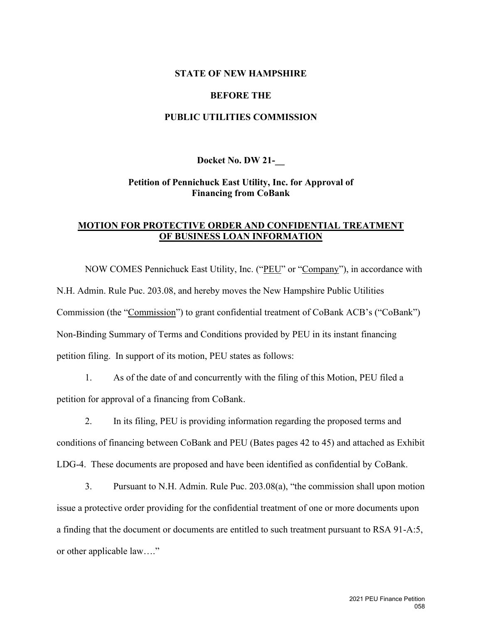## **STATE OF NEW HAMPSHIRE**

### **BEFORE THE**

# **PUBLIC UTILITIES COMMISSION**

#### **Docket No. DW 21-\_\_**

# **Petition of Pennichuck East Utility, Inc. for Approval of Financing from CoBank**

# **MOTION FOR PROTECTIVE ORDER AND CONFIDENTIAL TREATMENT OF BUSINESS LOAN INFORMATION**

NOW COMES Pennichuck East Utility, Inc. ("PEU" or "Company"), in accordance with N.H. Admin. Rule Puc. 203.08, and hereby moves the New Hampshire Public Utilities Commission (the "Commission") to grant confidential treatment of CoBank ACB's ("CoBank") Non-Binding Summary of Terms and Conditions provided by PEU in its instant financing petition filing. In support of its motion, PEU states as follows:

1. As of the date of and concurrently with the filing of this Motion, PEU filed a petition for approval of a financing from CoBank.

2. In its filing, PEU is providing information regarding the proposed terms and conditions of financing between CoBank and PEU (Bates pages 42 to 45) and attached as Exhibit LDG-4. These documents are proposed and have been identified as confidential by CoBank.

3. Pursuant to N.H. Admin. Rule Puc. 203.08(a), "the commission shall upon motion issue a protective order providing for the confidential treatment of one or more documents upon a finding that the document or documents are entitled to such treatment pursuant to RSA 91-A:5, or other applicable law…."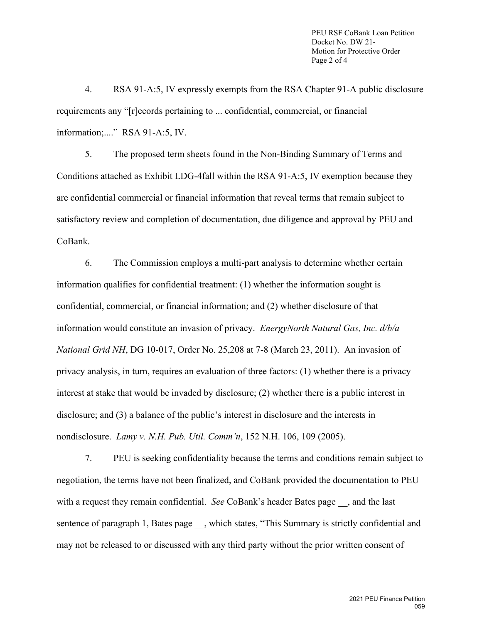PEU RSF CoBank Loan Petition Docket No. DW 21- Motion for Protective Order Page 2 of 4

4. RSA 91-A:5, IV expressly exempts from the RSA Chapter 91-A public disclosure requirements any "[r]ecords pertaining to ... confidential, commercial, or financial information;...." RSA 91-A:5, IV.

5. The proposed term sheets found in the Non-Binding Summary of Terms and Conditions attached as Exhibit LDG-4fall within the RSA 91-A:5, IV exemption because they are confidential commercial or financial information that reveal terms that remain subject to satisfactory review and completion of documentation, due diligence and approval by PEU and CoBank.

6. The Commission employs a multi-part analysis to determine whether certain information qualifies for confidential treatment: (1) whether the information sought is confidential, commercial, or financial information; and (2) whether disclosure of that information would constitute an invasion of privacy. *EnergyNorth Natural Gas, Inc. d/b/a National Grid NH*, DG 10-017, Order No. 25,208 at 7-8 (March 23, 2011). An invasion of privacy analysis, in turn, requires an evaluation of three factors: (1) whether there is a privacy interest at stake that would be invaded by disclosure; (2) whether there is a public interest in disclosure; and (3) a balance of the public's interest in disclosure and the interests in nondisclosure. *Lamy v. N.H. Pub. Util. Comm'n*, 152 N.H. 106, 109 (2005).

7. PEU is seeking confidentiality because the terms and conditions remain subject to negotiation, the terms have not been finalized, and CoBank provided the documentation to PEU with a request they remain confidential. *See* CoBank's header Bates page , and the last sentence of paragraph 1, Bates page , which states, "This Summary is strictly confidential and may not be released to or discussed with any third party without the prior written consent of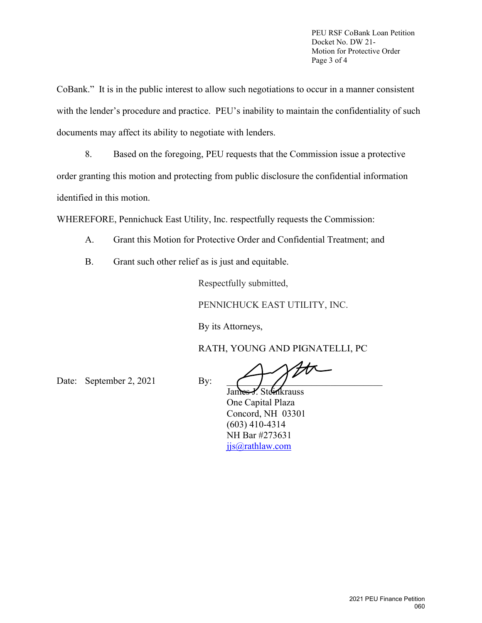PEU RSF CoBank Loan Petition Docket No. DW 21- Motion for Protective Order Page 3 of 4

CoBank." It is in the public interest to allow such negotiations to occur in a manner consistent with the lender's procedure and practice. PEU's inability to maintain the confidentiality of such documents may affect its ability to negotiate with lenders.

8. Based on the foregoing, PEU requests that the Commission issue a protective order granting this motion and protecting from public disclosure the confidential information identified in this motion.

WHEREFORE, Pennichuck East Utility, Inc. respectfully requests the Commission:

- A. Grant this Motion for Protective Order and Confidential Treatment; and
- B. Grant such other relief as is just and equitable.

Respectfully submitted,

PENNICHUCK EAST UTILITY, INC.

By its Attorneys,

RATH, YOUNG AND PIGNATELLI, PC

Date: September 2,  $2021$  By:

仄

James Y. Steinkrauss One Capital Plaza Concord, NH 03301 (603) 410-4314 NH Bar #273631 jjs@rathlaw.com